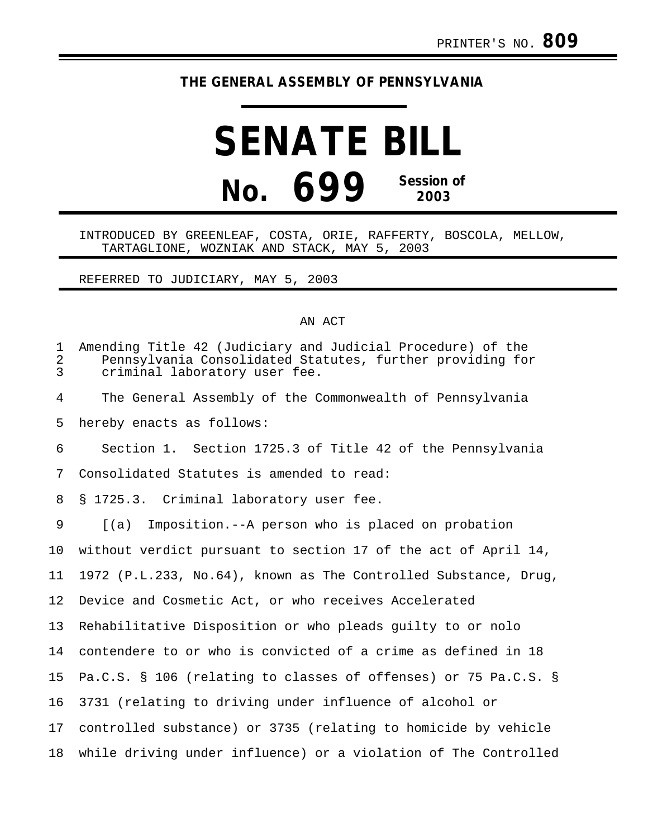## **THE GENERAL ASSEMBLY OF PENNSYLVANIA**

## **SENATE BILL No. 699 Session of 2003**

## INTRODUCED BY GREENLEAF, COSTA, ORIE, RAFFERTY, BOSCOLA, MELLOW, TARTAGLIONE, WOZNIAK AND STACK, MAY 5, 2003

REFERRED TO JUDICIARY, MAY 5, 2003

## AN ACT

| $\mathbf 1$<br>2<br>3 | Amending Title 42 (Judiciary and Judicial Procedure) of the<br>Pennsylvania Consolidated Statutes, further providing for<br>criminal laboratory user fee. |
|-----------------------|-----------------------------------------------------------------------------------------------------------------------------------------------------------|
| 4                     | The General Assembly of the Commonwealth of Pennsylvania                                                                                                  |
| 5                     | hereby enacts as follows:                                                                                                                                 |
| 6                     | Section 1. Section 1725.3 of Title 42 of the Pennsylvania                                                                                                 |
| 7                     | Consolidated Statutes is amended to read:                                                                                                                 |
| 8                     | § 1725.3. Criminal laboratory user fee.                                                                                                                   |
| 9                     | Imposition.--A person who is placed on probation<br>[(a)]                                                                                                 |
| 10                    | without verdict pursuant to section 17 of the act of April 14,                                                                                            |
| 11                    | 1972 (P.L.233, No.64), known as The Controlled Substance, Drug,                                                                                           |
| 12                    | Device and Cosmetic Act, or who receives Accelerated                                                                                                      |
| 13                    | Rehabilitative Disposition or who pleads guilty to or nolo                                                                                                |
| 14                    | contendere to or who is convicted of a crime as defined in 18                                                                                             |
| 15                    | Pa.C.S. § 106 (relating to classes of offenses) or 75 Pa.C.S. §                                                                                           |
| 16                    | 3731 (relating to driving under influence of alcohol or                                                                                                   |
| 17                    | controlled substance) or 3735 (relating to homicide by vehicle                                                                                            |
| 18                    | while driving under influence) or a violation of The Controlled                                                                                           |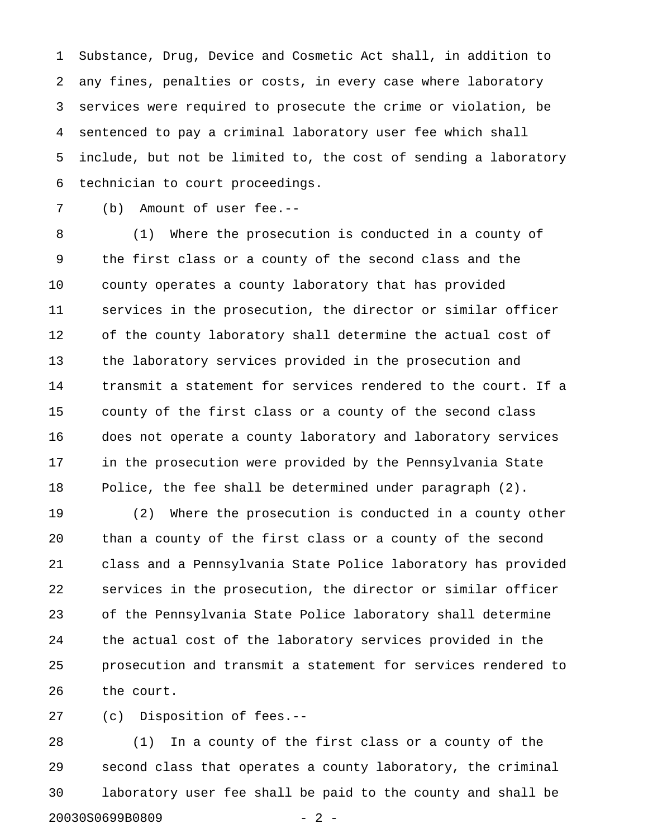1 Substance, Drug, Device and Cosmetic Act shall, in addition to 2 any fines, penalties or costs, in every case where laboratory 3 services were required to prosecute the crime or violation, be 4 sentenced to pay a criminal laboratory user fee which shall 5 include, but not be limited to, the cost of sending a laboratory 6 technician to court proceedings.

7 (b) Amount of user fee.--

8 (1) Where the prosecution is conducted in a county of 9 the first class or a county of the second class and the 10 county operates a county laboratory that has provided 11 services in the prosecution, the director or similar officer 12 of the county laboratory shall determine the actual cost of 13 the laboratory services provided in the prosecution and 14 transmit a statement for services rendered to the court. If a 15 county of the first class or a county of the second class 16 does not operate a county laboratory and laboratory services 17 in the prosecution were provided by the Pennsylvania State 18 Police, the fee shall be determined under paragraph (2).

19 (2) Where the prosecution is conducted in a county other 20 than a county of the first class or a county of the second 21 class and a Pennsylvania State Police laboratory has provided 22 services in the prosecution, the director or similar officer 23 of the Pennsylvania State Police laboratory shall determine 24 the actual cost of the laboratory services provided in the 25 prosecution and transmit a statement for services rendered to 26 the court.

27 (c) Disposition of fees.--

28 (1) In a county of the first class or a county of the 29 second class that operates a county laboratory, the criminal 30 laboratory user fee shall be paid to the county and shall be 20030S0699B0809 - 2 -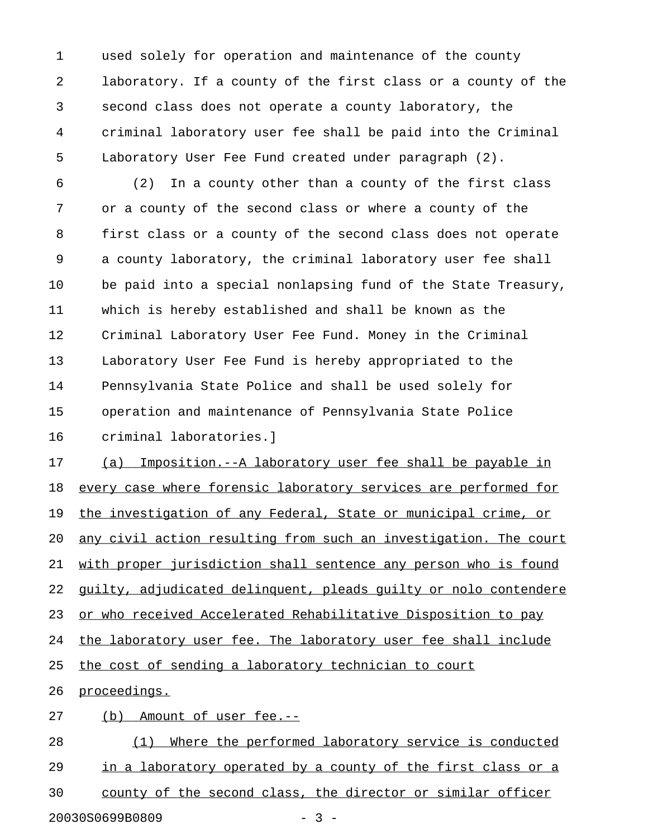1 used solely for operation and maintenance of the county 2 laboratory. If a county of the first class or a county of the 3 second class does not operate a county laboratory, the 4 criminal laboratory user fee shall be paid into the Criminal 5 Laboratory User Fee Fund created under paragraph (2).

6 (2) In a county other than a county of the first class 7 or a county of the second class or where a county of the 8 first class or a county of the second class does not operate 9 a county laboratory, the criminal laboratory user fee shall 10 be paid into a special nonlapsing fund of the State Treasury, 11 which is hereby established and shall be known as the 12 Criminal Laboratory User Fee Fund. Money in the Criminal 13 Laboratory User Fee Fund is hereby appropriated to the 14 Pennsylvania State Police and shall be used solely for 15 operation and maintenance of Pennsylvania State Police 16 criminal laboratories.]

17 (a) Imposition.--A laboratory user fee shall be payable in 18 every case where forensic laboratory services are performed for 19 the investigation of any Federal, State or municipal crime, or 20 any civil action resulting from such an investigation. The court 21 with proper jurisdiction shall sentence any person who is found 22 quilty, adjudicated delinquent, pleads quilty or nolo contendere 23 or who received Accelerated Rehabilitative Disposition to pay 24 the laboratory user fee. The laboratory user fee shall include 25 the cost of sending a laboratory technician to court 26 proceedings.

27 (b) Amount of user fee.--

28 (1) Where the performed laboratory service is conducted 29 in a laboratory operated by a county of the first class or a 30 county of the second class, the director or similar officer 20030S0699B0809 - 3 -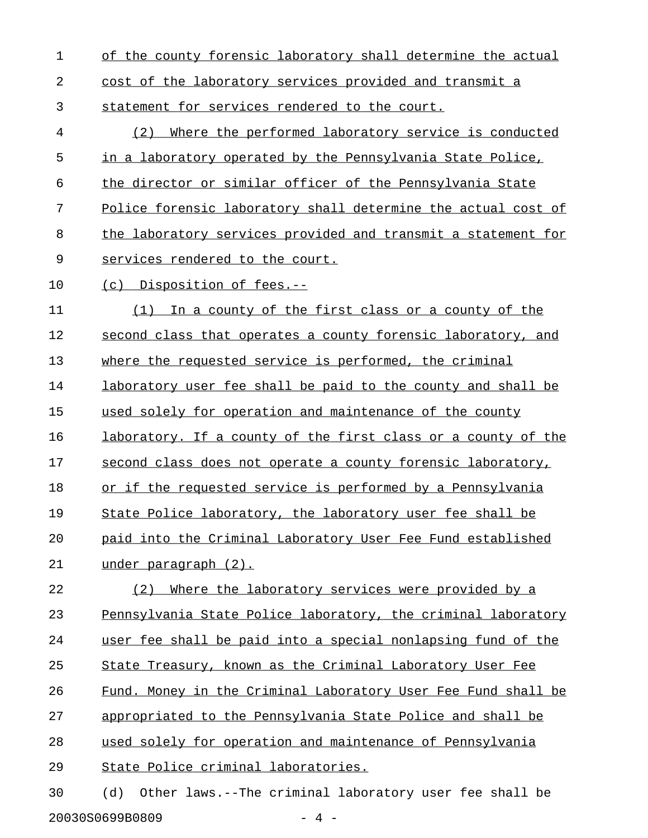1 of the county forensic laboratory shall determine the actual 2 cost of the laboratory services provided and transmit a 3 statement for services rendered to the court. 4 (2) Where the performed laboratory service is conducted 5 in a laboratory operated by the Pennsylvania State Police,

7 Police forensic laboratory shall determine the actual cost of 8 the laboratory services provided and transmit a statement for 9 services rendered to the court.

6 the director or similar officer of the Pennsylvania State

10 (c) Disposition of fees.--

11 (1) In a county of the first class or a county of the 12 second class that operates a county forensic laboratory, and 13 where the requested service is performed, the criminal 14 laboratory user fee shall be paid to the county and shall be 15 used solely for operation and maintenance of the county 16 laboratory. If a county of the first class or a county of the 17 second class does not operate a county forensic laboratory, 18 or if the requested service is performed by a Pennsylvania 19 State Police laboratory, the laboratory user fee shall be 20 paid into the Criminal Laboratory User Fee Fund established 21 under paragraph  $(2)$ .

22 (2) Where the laboratory services were provided by a 23 Pennsylvania State Police laboratory, the criminal laboratory 24 user fee shall be paid into a special nonlapsing fund of the 25 State Treasury, known as the Criminal Laboratory User Fee 26 Fund. Money in the Criminal Laboratory User Fee Fund shall be 27 appropriated to the Pennsylvania State Police and shall be 28 used solely for operation and maintenance of Pennsylvania 29 State Police criminal laboratories.

30 (d) Other laws.--The criminal laboratory user fee shall be 20030S0699B0809 - 4 -